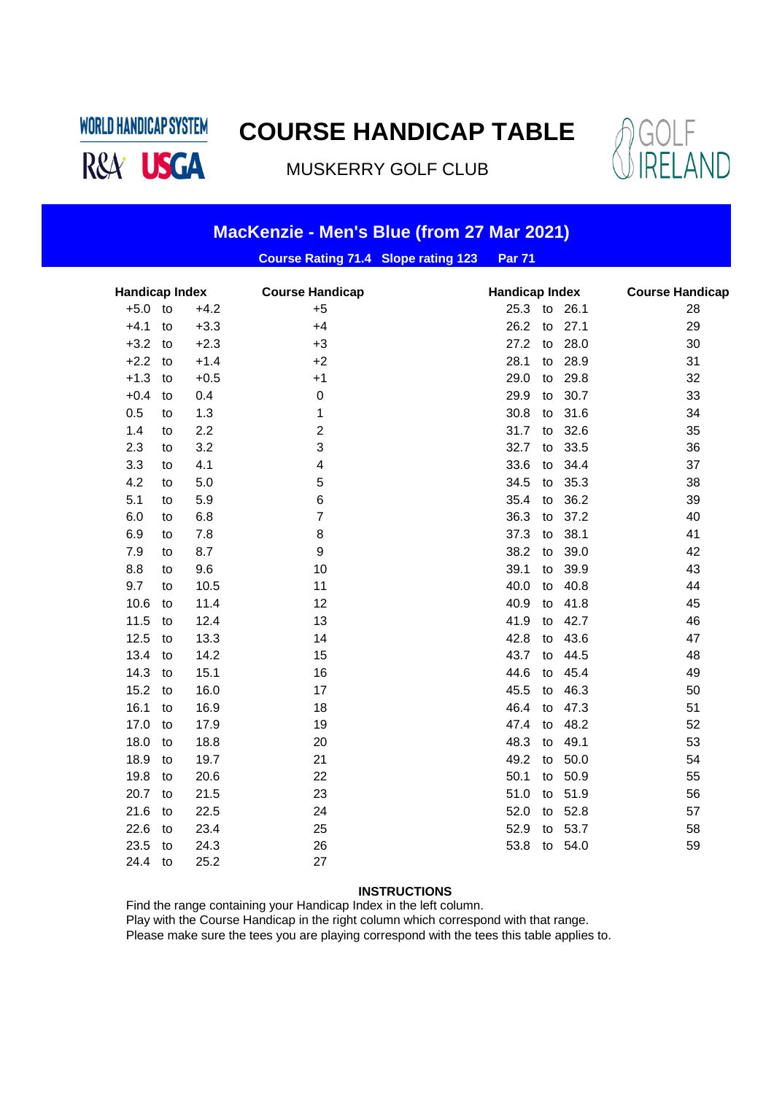**COURSE HANDICAP TABLE**

**WORLD HANDICAP SYSTEM** 

R&A<sup>USGA</sup>

MUSKERRY GOLF CLUB



| MacKenzie - Men's Blue (from 27 Mar 2021) |    |        |                                            |  |                       |    |         |                        |    |
|-------------------------------------------|----|--------|--------------------------------------------|--|-----------------------|----|---------|------------------------|----|
|                                           |    |        | <b>Course Rating 71.4 Slope rating 123</b> |  | <b>Par 71</b>         |    |         |                        |    |
| <b>Handicap Index</b>                     |    |        | <b>Course Handicap</b>                     |  | <b>Handicap Index</b> |    |         | <b>Course Handicap</b> |    |
| $+5.0$                                    | to | $+4.2$ | $+5$                                       |  | 25.3 to 26.1          |    |         |                        | 28 |
| $+4.1$                                    | to | $+3.3$ | $+4$                                       |  | 26.2                  | to | 27.1    |                        | 29 |
| $+3.2$                                    | to | $+2.3$ | $+3$                                       |  | 27.2                  | to | 28.0    |                        | 30 |
| $+2.2$                                    | to | $+1.4$ | $+2$                                       |  | 28.1                  | to | 28.9    |                        | 31 |
| $+1.3$                                    | to | $+0.5$ | $+1$                                       |  | 29.0                  | to | 29.8    |                        | 32 |
| $+0.4$                                    | to | 0.4    | 0                                          |  | 29.9                  | to | 30.7    |                        | 33 |
| 0.5                                       | to | 1.3    | 1                                          |  | 30.8                  | to | 31.6    |                        | 34 |
| 1.4                                       | to | 2.2    | $\overline{c}$                             |  | 31.7                  | to | 32.6    |                        | 35 |
| 2.3                                       | to | 3.2    | 3                                          |  | 32.7                  | to | 33.5    |                        | 36 |
| 3.3                                       | to | 4.1    | 4                                          |  | 33.6                  | to | 34.4    |                        | 37 |
| 4.2                                       | to | 5.0    | 5                                          |  | 34.5                  | to | 35.3    |                        | 38 |
| 5.1                                       | to | 5.9    | 6                                          |  | 35.4                  | to | 36.2    |                        | 39 |
| 6.0                                       | to | 6.8    | 7                                          |  | 36.3                  | to | 37.2    |                        | 40 |
| 6.9                                       | to | 7.8    | 8                                          |  | 37.3                  | to | 38.1    |                        | 41 |
| 7.9                                       | to | 8.7    | 9                                          |  | 38.2                  | to | 39.0    |                        | 42 |
| 8.8                                       | to | 9.6    | 10                                         |  | 39.1                  | to | 39.9    |                        | 43 |
| 9.7                                       | to | 10.5   | 11                                         |  | 40.0                  | to | 40.8    |                        | 44 |
| 10.6                                      | to | 11.4   | 12                                         |  | 40.9                  | to | 41.8    |                        | 45 |
| 11.5                                      | to | 12.4   | 13                                         |  | 41.9                  | to | 42.7    |                        | 46 |
| 12.5                                      | to | 13.3   | 14                                         |  | 42.8                  | to | 43.6    |                        | 47 |
| 13.4                                      | to | 14.2   | 15                                         |  | 43.7                  | to | 44.5    |                        | 48 |
| 14.3                                      | to | 15.1   | 16                                         |  | 44.6                  | to | 45.4    |                        | 49 |
| 15.2                                      | to | 16.0   | 17                                         |  | 45.5                  | to | 46.3    |                        | 50 |
| 16.1                                      | to | 16.9   | 18                                         |  | 46.4                  | to | 47.3    |                        | 51 |
| 17.0                                      | to | 17.9   | 19                                         |  | 47.4                  | to | 48.2    |                        | 52 |
| 18.0                                      | to | 18.8   | 20                                         |  | 48.3                  | to | 49.1    |                        | 53 |
| 18.9                                      | to | 19.7   | 21                                         |  | 49.2                  | to | 50.0    |                        | 54 |
| 19.8                                      | to | 20.6   | 22                                         |  | 50.1                  | to | 50.9    |                        | 55 |
| 20.7                                      | to | 21.5   | 23                                         |  | 51.0                  | to | 51.9    |                        | 56 |
| 21.6                                      | to | 22.5   | 24                                         |  | 52.0                  |    | to 52.8 |                        | 57 |
| 22.6                                      | to | 23.4   | 25                                         |  | 52.9                  |    | to 53.7 |                        | 58 |
| 23.5                                      | to | 24.3   | 26                                         |  | 53.8                  |    | to 54.0 |                        | 59 |
| 24.4                                      | to | 25.2   | 27                                         |  |                       |    |         |                        |    |

#### **INSTRUCTIONS**

Find the range containing your Handicap Index in the left column. Play with the Course Handicap in the right column which correspond with that range.

Please make sure the tees you are playing correspond with the tees this table applies to.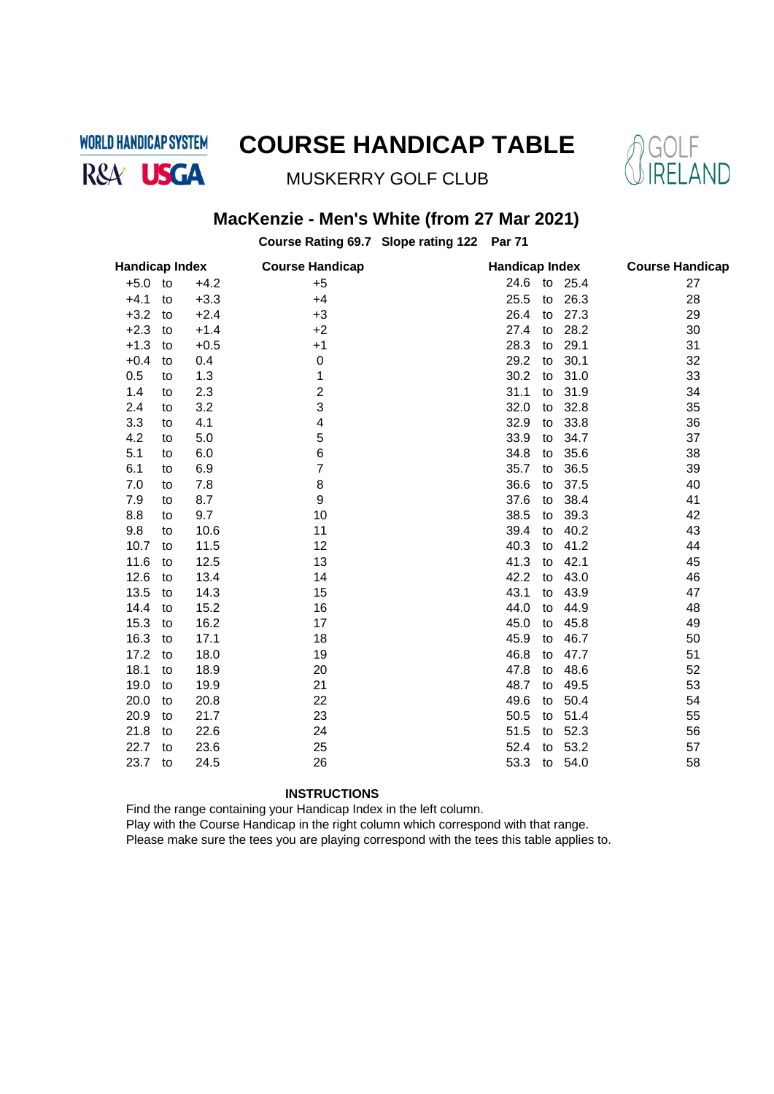**WORLD HANDICAP SYSTEM** R&A<sup>'</sup> USGA

## **COURSE HANDICAP TABLE**



MUSKERRY GOLF CLUB

### **MacKenzie - Men's White (from 27 Mar 2021)**

**Course Rating 69.7 Slope rating 122 Par 71**

| <b>Handicap Index</b> |    |        | <b>Course Handicap</b> | <b>Handicap Index</b> | <b>Course Handicap</b> |  |
|-----------------------|----|--------|------------------------|-----------------------|------------------------|--|
| $+5.0$                | to | $+4.2$ | $+5$                   | 24.6<br>to<br>25.4    | 27                     |  |
| $+4.1$                | to | $+3.3$ | $+4$                   | 25.5<br>26.3<br>to    | 28                     |  |
| $+3.2$                | to | $+2.4$ | $+3$                   | 26.4<br>27.3<br>to    | 29                     |  |
| $+2.3$                | to | $+1.4$ | $+2$                   | 27.4<br>28.2<br>to    | 30                     |  |
| $+1.3$                | to | $+0.5$ | $+1$                   | 28.3<br>29.1<br>to    | 31                     |  |
| $+0.4$                | to | 0.4    | $\boldsymbol{0}$       | 30.1<br>29.2<br>to    | 32                     |  |
| 0.5                   | to | 1.3    | 1                      | 30.2<br>31.0<br>to    | 33                     |  |
| 1.4                   | to | 2.3    | $\overline{c}$         | 31.1<br>31.9<br>to    | 34                     |  |
| 2.4                   | to | 3.2    | 3                      | 32.0<br>32.8<br>to    | 35                     |  |
| 3.3                   | to | 4.1    | 4                      | 32.9<br>33.8<br>to    | 36                     |  |
| 4.2                   | to | 5.0    | 5                      | 33.9<br>34.7<br>to    | 37                     |  |
| 5.1                   | to | 6.0    | 6                      | 34.8<br>35.6<br>to    | 38                     |  |
| 6.1                   | to | 6.9    | 7                      | 35.7<br>36.5<br>to    | 39                     |  |
| 7.0                   | to | 7.8    | 8                      | 36.6<br>37.5<br>to    | 40                     |  |
| 7.9                   | to | 8.7    | 9                      | 37.6<br>38.4<br>to    | 41                     |  |
| 8.8                   | to | 9.7    | 10                     | 38.5<br>39.3<br>to    | 42                     |  |
| 9.8                   | to | 10.6   | 11                     | 39.4<br>40.2<br>to    | 43                     |  |
| 10.7                  | to | 11.5   | 12                     | 40.3<br>41.2<br>to    | 44                     |  |
| 11.6                  | to | 12.5   | 13                     | 41.3<br>42.1<br>to    | 45                     |  |
| 12.6                  | to | 13.4   | 14                     | 42.2<br>43.0<br>to    | 46                     |  |
| 13.5                  | to | 14.3   | 15                     | 43.1<br>43.9<br>to    | 47                     |  |
| 14.4                  | to | 15.2   | 16                     | 44.0<br>44.9<br>to    | 48                     |  |
| 15.3                  | to | 16.2   | 17                     | 45.0<br>45.8<br>to    | 49                     |  |
| 16.3                  | to | 17.1   | 18                     | 46.7<br>45.9<br>to    | 50                     |  |
| 17.2                  | to | 18.0   | 19                     | 46.8<br>47.7<br>to    | 51                     |  |
| 18.1                  | to | 18.9   | 20                     | 47.8<br>48.6<br>to    | 52                     |  |
| 19.0                  | to | 19.9   | 21                     | 48.7<br>49.5<br>to    | 53                     |  |
| 20.0                  | to | 20.8   | 22                     | 49.6<br>50.4<br>to    | 54                     |  |
| 20.9                  | to | 21.7   | 23                     | 50.5<br>51.4<br>to    | 55                     |  |
| 21.8                  | to | 22.6   | 24                     | 52.3<br>51.5<br>to    | 56                     |  |
| 22.7                  | to | 23.6   | 25                     | 53.2<br>52.4<br>to    | 57                     |  |
| 23.7                  | to | 24.5   | 26                     | 53.3<br>54.0<br>to    | 58                     |  |
|                       |    |        |                        |                       |                        |  |

#### **INSTRUCTIONS**

Find the range containing your Handicap Index in the left column.

Play with the Course Handicap in the right column which correspond with that range.

Please make sure the tees you are playing correspond with the tees this table applies to.